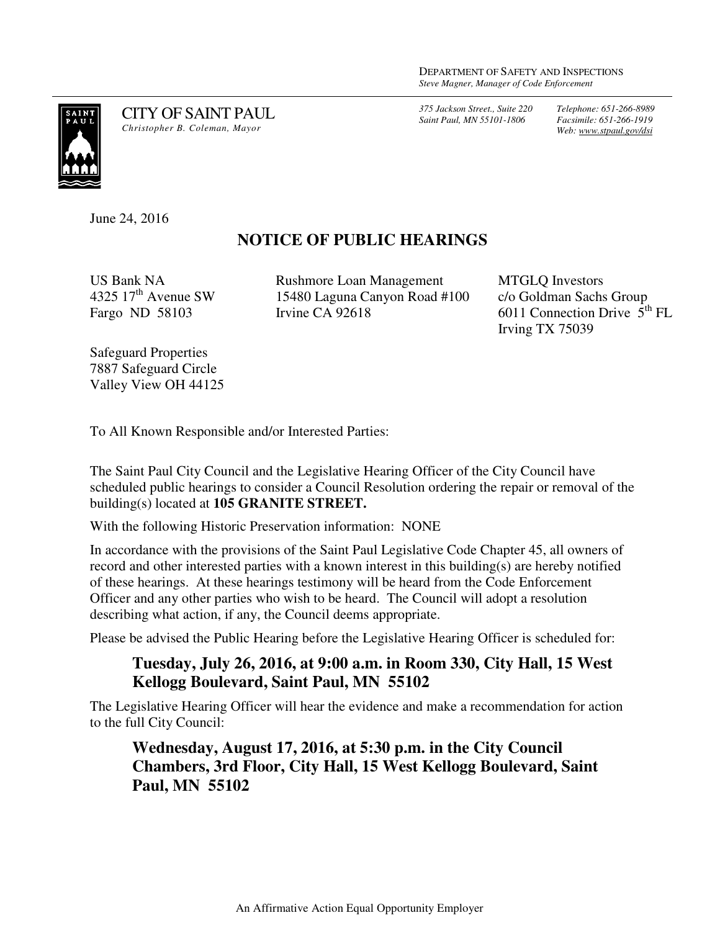*375 Jackson Street., Suite 220 Saint Paul, MN 55101-1806*

*Telephone: 651-266-8989 Facsimile: 651-266-1919 Web: www.stpaul.gov/dsi*



CITY OF SAINT PAUL *Christopher B. Coleman, Mayor* 

June 24, 2016

## **NOTICE OF PUBLIC HEARINGS**

US Bank NA 4325  $17<sup>th</sup>$  Avenue SW Fargo ND 58103

Rushmore Loan Management 15480 Laguna Canyon Road #100 Irvine CA 92618

MTGLQ Investors c/o Goldman Sachs Group 6011 Connection Drive  $5<sup>th</sup> FL$ Irving TX 75039

Safeguard Properties 7887 Safeguard Circle Valley View OH 44125

To All Known Responsible and/or Interested Parties:

The Saint Paul City Council and the Legislative Hearing Officer of the City Council have scheduled public hearings to consider a Council Resolution ordering the repair or removal of the building(s) located at **105 GRANITE STREET.** 

With the following Historic Preservation information: NONE

In accordance with the provisions of the Saint Paul Legislative Code Chapter 45, all owners of record and other interested parties with a known interest in this building(s) are hereby notified of these hearings. At these hearings testimony will be heard from the Code Enforcement Officer and any other parties who wish to be heard. The Council will adopt a resolution describing what action, if any, the Council deems appropriate.

Please be advised the Public Hearing before the Legislative Hearing Officer is scheduled for:

## **Tuesday, July 26, 2016, at 9:00 a.m. in Room 330, City Hall, 15 West Kellogg Boulevard, Saint Paul, MN 55102**

The Legislative Hearing Officer will hear the evidence and make a recommendation for action to the full City Council:

## **Wednesday, August 17, 2016, at 5:30 p.m. in the City Council Chambers, 3rd Floor, City Hall, 15 West Kellogg Boulevard, Saint Paul, MN 55102**